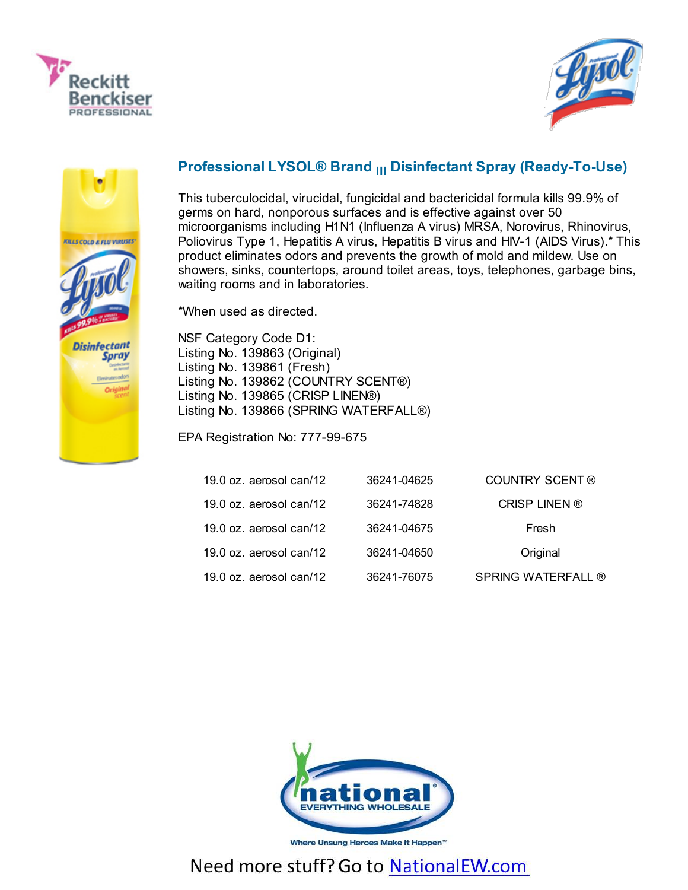





## Professional LYSOL® Brand <sub>III</sub> Disinfectant Spray (Ready-To-Use)

This tuberculocidal, virucidal, fungicidal and bactericidal formula kills 99.9% of germs on hard, nonporous surfaces and is effective against over 50 microorganisms including H1N1 (Influenza A virus) MRSA, Norovirus, Rhinovirus, Poliovirus Type 1, Hepatitis A virus, Hepatitis B virus and HIV-1 (AIDS Virus).\* This product eliminates odors and prevents the growth of mold and mildew. Use on showers, sinks, countertops, around toilet areas, toys, telephones, garbage bins, waiting rooms and in laboratories.

\*When used as directed.

NSF Category Code D1: Listing No. 139863 (Original) Listing No. 139861 (Fresh) Listing No. 139862 (COUNTRY SCENT®) Listing No. 139865 (CRISP LINEN®) Listing No. 139866 (SPRING WATERFALL®)

EPA Registration No: 777-99-675

| 19.0 oz. aerosol can/12    | 36241-04625 | COUNTRY SCENT ®    |
|----------------------------|-------------|--------------------|
| 19.0 $oz$ . aerosol can/12 | 36241-74828 | CRISP LINEN ®      |
| $19.0$ oz. aerosol can/12  | 36241-04675 | Fresh              |
| $19.0$ oz. aerosol can/12  | 36241-04650 | Original           |
| 19.0 oz. aerosol can/12    | 36241-76075 | SPRING WATERFALL ® |



Where Unsung Heroes Make It Happen<sup>"</sup>

## Need more stuff? Go to NationalEW.com